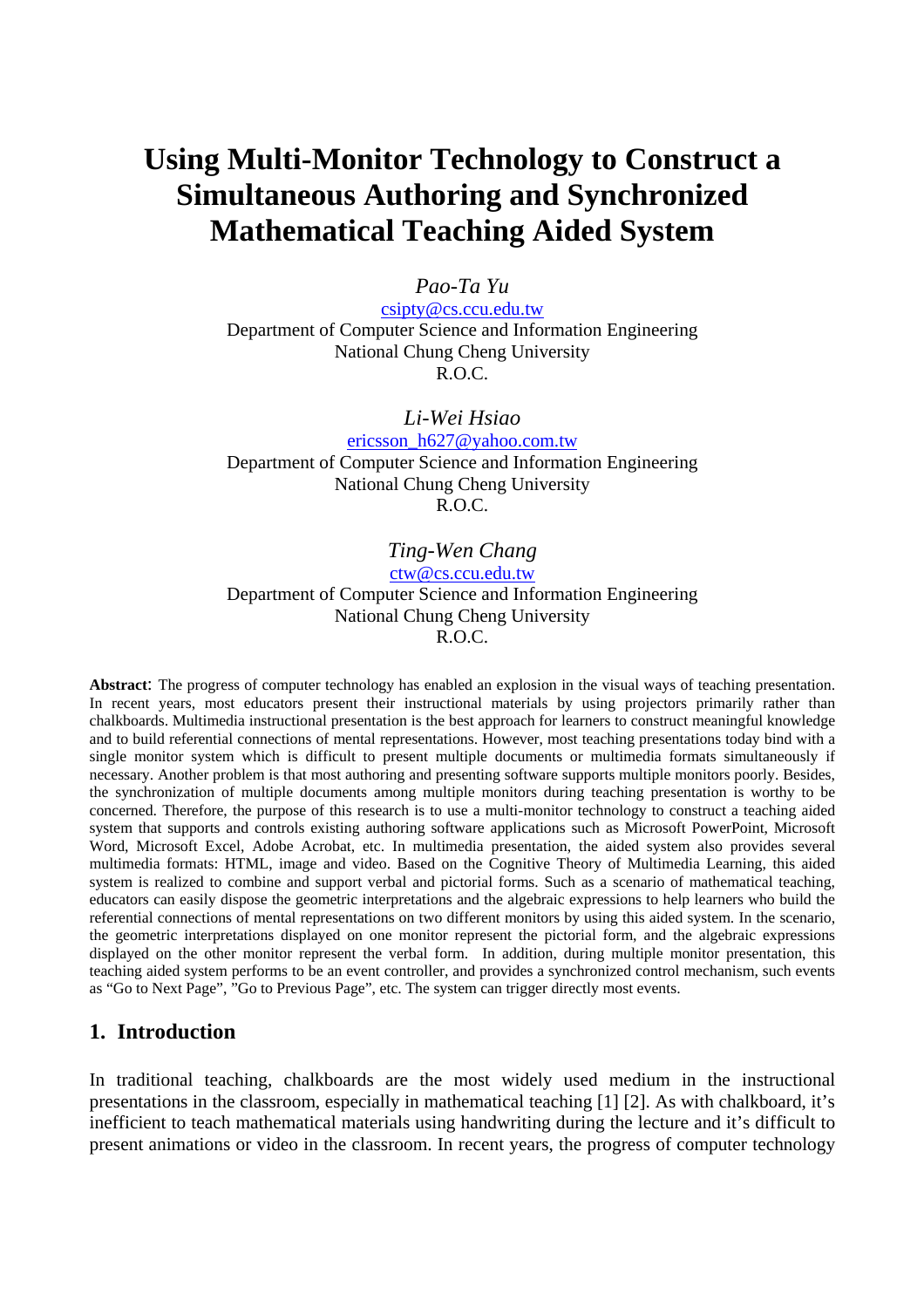# **Using Multi-Monitor Technology to Construct a Simultaneous Authoring and Synchronized Mathematical Teaching Aided System**

#### *Pao-Ta Yu*

csipty@cs.ccu.edu.tw Department of Computer Science and Information Engineering National Chung Cheng University R.O.C.

#### *Li-Wei Hsiao*

ericsson\_h627@yahoo.com.tw Department of Computer Science and Information Engineering National Chung Cheng University R.O.C.

### *Ting-Wen Chang*

ctw@cs.ccu.edu.tw

Department of Computer Science and Information Engineering National Chung Cheng University R.O.C.

**Abstract**: The progress of computer technology has enabled an explosion in the visual ways of teaching presentation. In recent years, most educators present their instructional materials by using projectors primarily rather than chalkboards. Multimedia instructional presentation is the best approach for learners to construct meaningful knowledge and to build referential connections of mental representations. However, most teaching presentations today bind with a single monitor system which is difficult to present multiple documents or multimedia formats simultaneously if necessary. Another problem is that most authoring and presenting software supports multiple monitors poorly. Besides, the synchronization of multiple documents among multiple monitors during teaching presentation is worthy to be concerned. Therefore, the purpose of this research is to use a multi-monitor technology to construct a teaching aided system that supports and controls existing authoring software applications such as Microsoft PowerPoint, Microsoft Word, Microsoft Excel, Adobe Acrobat, etc. In multimedia presentation, the aided system also provides several multimedia formats: HTML, image and video. Based on the Cognitive Theory of Multimedia Learning, this aided system is realized to combine and support verbal and pictorial forms. Such as a scenario of mathematical teaching, educators can easily dispose the geometric interpretations and the algebraic expressions to help learners who build the referential connections of mental representations on two different monitors by using this aided system. In the scenario, the geometric interpretations displayed on one monitor represent the pictorial form, and the algebraic expressions displayed on the other monitor represent the verbal form. In addition, during multiple monitor presentation, this teaching aided system performs to be an event controller, and provides a synchronized control mechanism, such events as "Go to Next Page", "Go to Previous Page", etc. The system can trigger directly most events.

### **1. Introduction**

In traditional teaching, chalkboards are the most widely used medium in the instructional presentations in the classroom, especially in mathematical teaching [1] [2]. As with chalkboard, it's inefficient to teach mathematical materials using handwriting during the lecture and it's difficult to present animations or video in the classroom. In recent years, the progress of computer technology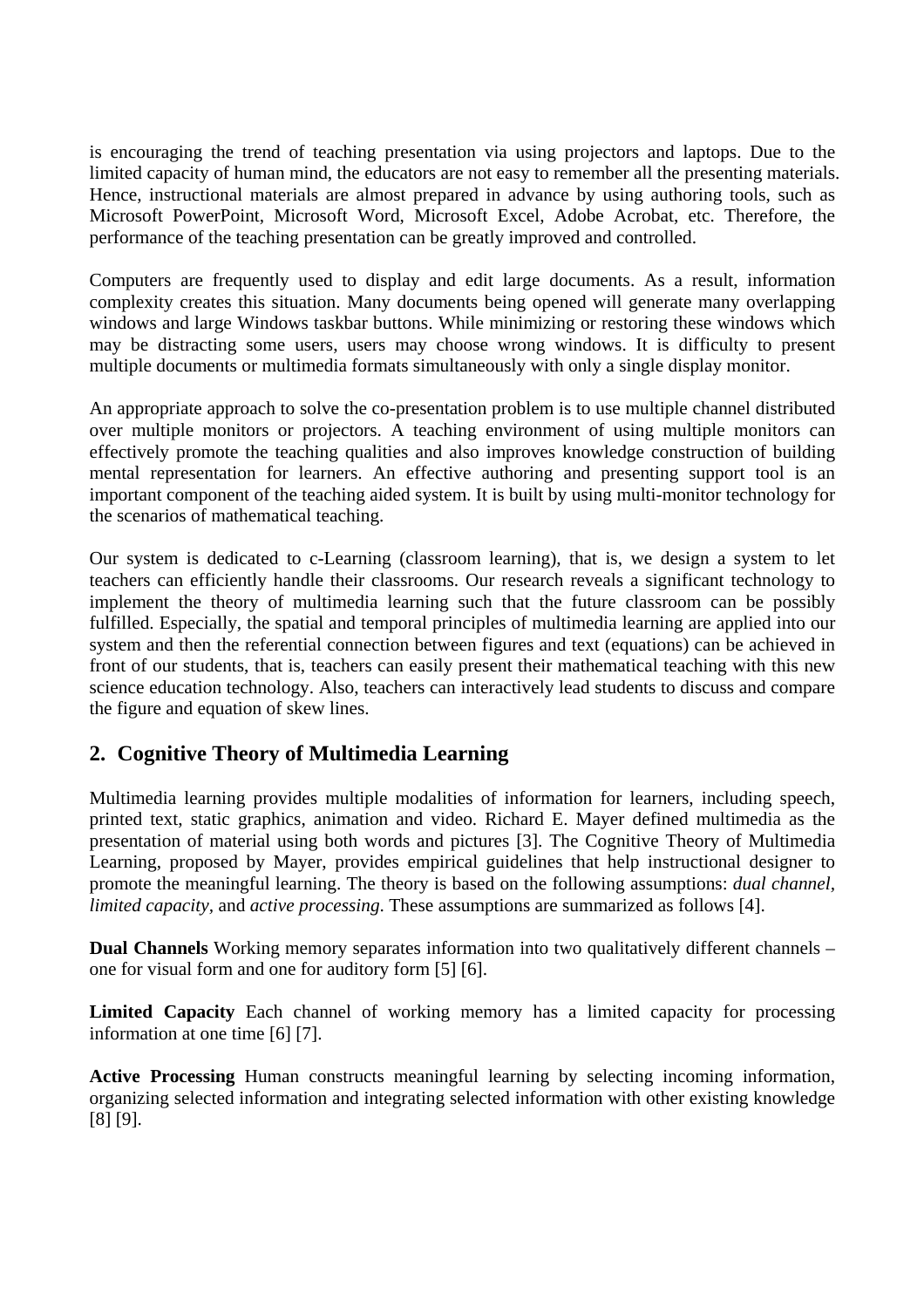is encouraging the trend of teaching presentation via using projectors and laptops. Due to the limited capacity of human mind, the educators are not easy to remember all the presenting materials. Hence, instructional materials are almost prepared in advance by using authoring tools, such as Microsoft PowerPoint, Microsoft Word, Microsoft Excel, Adobe Acrobat, etc. Therefore, the performance of the teaching presentation can be greatly improved and controlled.

Computers are frequently used to display and edit large documents. As a result, information complexity creates this situation. Many documents being opened will generate many overlapping windows and large Windows taskbar buttons. While minimizing or restoring these windows which may be distracting some users, users may choose wrong windows. It is difficulty to present multiple documents or multimedia formats simultaneously with only a single display monitor.

An appropriate approach to solve the co-presentation problem is to use multiple channel distributed over multiple monitors or projectors. A teaching environment of using multiple monitors can effectively promote the teaching qualities and also improves knowledge construction of building mental representation for learners. An effective authoring and presenting support tool is an important component of the teaching aided system. It is built by using multi-monitor technology for the scenarios of mathematical teaching.

Our system is dedicated to c-Learning (classroom learning), that is, we design a system to let teachers can efficiently handle their classrooms. Our research reveals a significant technology to implement the theory of multimedia learning such that the future classroom can be possibly fulfilled. Especially, the spatial and temporal principles of multimedia learning are applied into our system and then the referential connection between figures and text (equations) can be achieved in front of our students, that is, teachers can easily present their mathematical teaching with this new science education technology. Also, teachers can interactively lead students to discuss and compare the figure and equation of skew lines.

# **2. Cognitive Theory of Multimedia Learning**

Multimedia learning provides multiple modalities of information for learners, including speech, printed text, static graphics, animation and video. Richard E. Mayer defined multimedia as the presentation of material using both words and pictures [3]. The Cognitive Theory of Multimedia Learning, proposed by Mayer, provides empirical guidelines that help instructional designer to promote the meaningful learning. The theory is based on the following assumptions: *dual channel, limited capacity,* and *active processing*. These assumptions are summarized as follows [4].

**Dual Channels** Working memory separates information into two qualitatively different channels – one for visual form and one for auditory form [5] [6].

**Limited Capacity** Each channel of working memory has a limited capacity for processing information at one time [6] [7].

**Active Processing** Human constructs meaningful learning by selecting incoming information, organizing selected information and integrating selected information with other existing knowledge [8] [9].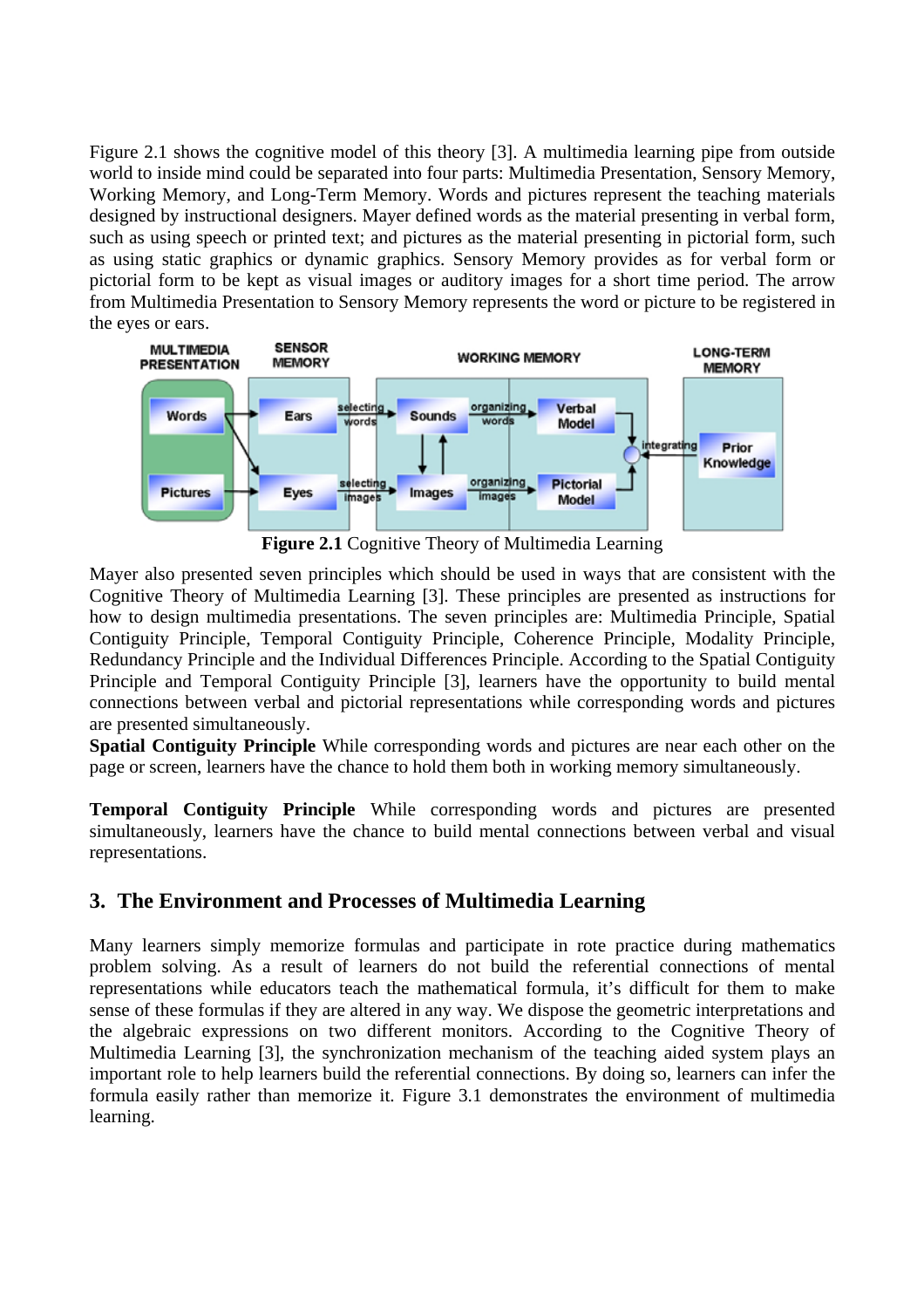Figure 2.1 shows the cognitive model of this theory [3]. A multimedia learning pipe from outside world to inside mind could be separated into four parts: Multimedia Presentation, Sensory Memory, Working Memory, and Long-Term Memory. Words and pictures represent the teaching materials designed by instructional designers. Mayer defined words as the material presenting in verbal form, such as using speech or printed text; and pictures as the material presenting in pictorial form, such as using static graphics or dynamic graphics. Sensory Memory provides as for verbal form or pictorial form to be kept as visual images or auditory images for a short time period. The arrow from Multimedia Presentation to Sensory Memory represents the word or picture to be registered in the eyes or ears.



**Figure 2.1** Cognitive Theory of Multimedia Learning

Mayer also presented seven principles which should be used in ways that are consistent with the Cognitive Theory of Multimedia Learning [3]. These principles are presented as instructions for how to design multimedia presentations. The seven principles are: Multimedia Principle, Spatial Contiguity Principle, Temporal Contiguity Principle, Coherence Principle, Modality Principle, Redundancy Principle and the Individual Differences Principle. According to the Spatial Contiguity Principle and Temporal Contiguity Principle [3], learners have the opportunity to build mental connections between verbal and pictorial representations while corresponding words and pictures are presented simultaneously.

**Spatial Contiguity Principle** While corresponding words and pictures are near each other on the page or screen, learners have the chance to hold them both in working memory simultaneously.

**Temporal Contiguity Principle** While corresponding words and pictures are presented simultaneously, learners have the chance to build mental connections between verbal and visual representations.

# **3. The Environment and Processes of Multimedia Learning**

Many learners simply memorize formulas and participate in rote practice during mathematics problem solving. As a result of learners do not build the referential connections of mental representations while educators teach the mathematical formula, it's difficult for them to make sense of these formulas if they are altered in any way. We dispose the geometric interpretations and the algebraic expressions on two different monitors. According to the Cognitive Theory of Multimedia Learning [3], the synchronization mechanism of the teaching aided system plays an important role to help learners build the referential connections. By doing so, learners can infer the formula easily rather than memorize it. Figure 3.1 demonstrates the environment of multimedia learning.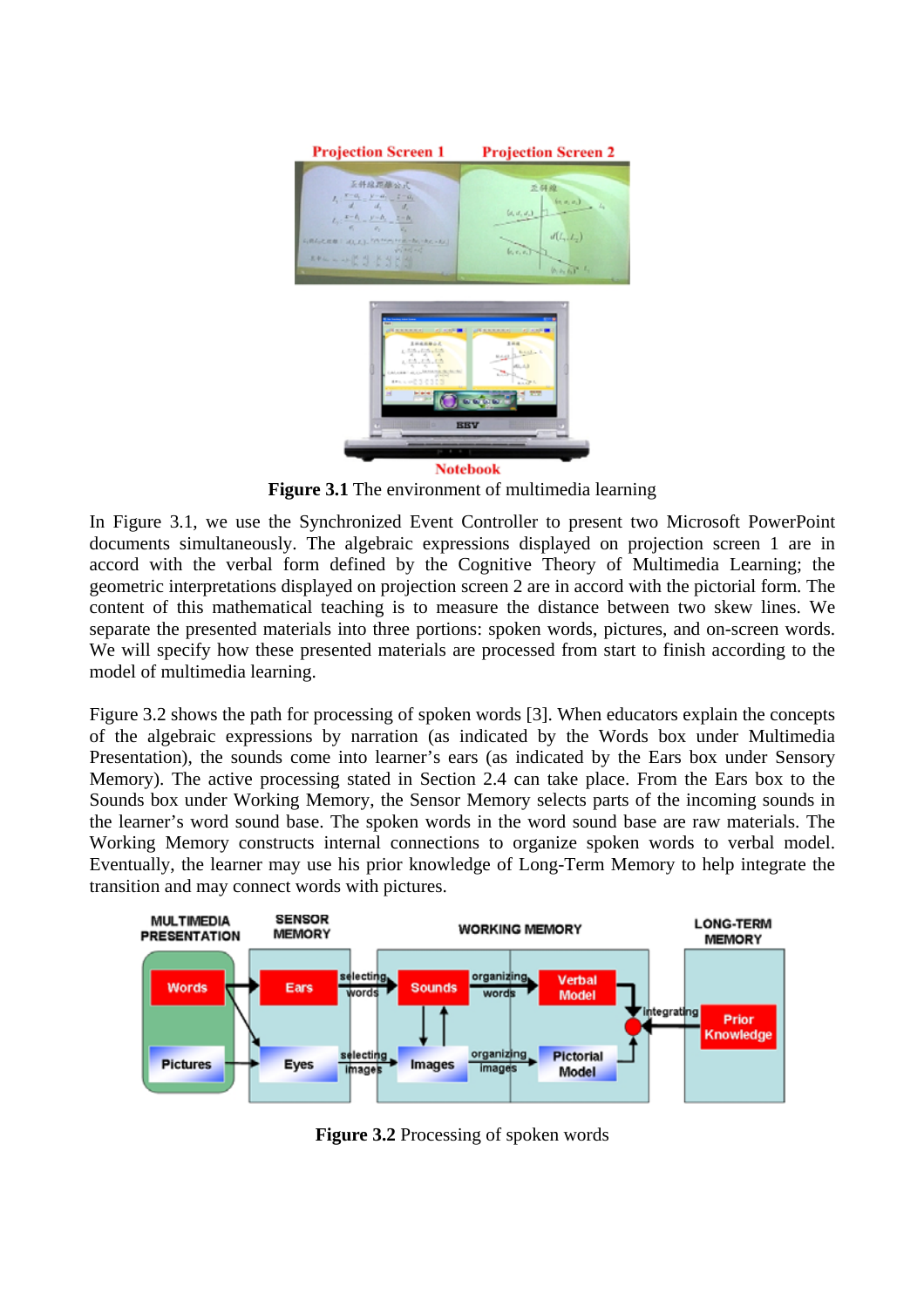

**Figure 3.1** The environment of multimedia learning

In Figure 3.1, we use the Synchronized Event Controller to present two Microsoft PowerPoint documents simultaneously. The algebraic expressions displayed on projection screen 1 are in accord with the verbal form defined by the Cognitive Theory of Multimedia Learning; the geometric interpretations displayed on projection screen 2 are in accord with the pictorial form. The content of this mathematical teaching is to measure the distance between two skew lines. We separate the presented materials into three portions: spoken words, pictures, and on-screen words. We will specify how these presented materials are processed from start to finish according to the model of multimedia learning.

Figure 3.2 shows the path for processing of spoken words [3]. When educators explain the concepts of the algebraic expressions by narration (as indicated by the Words box under Multimedia Presentation), the sounds come into learner's ears (as indicated by the Ears box under Sensory Memory). The active processing stated in Section 2.4 can take place. From the Ears box to the Sounds box under Working Memory, the Sensor Memory selects parts of the incoming sounds in the learner's word sound base. The spoken words in the word sound base are raw materials. The Working Memory constructs internal connections to organize spoken words to verbal model. Eventually, the learner may use his prior knowledge of Long-Term Memory to help integrate the transition and may connect words with pictures.



**Figure 3.2** Processing of spoken words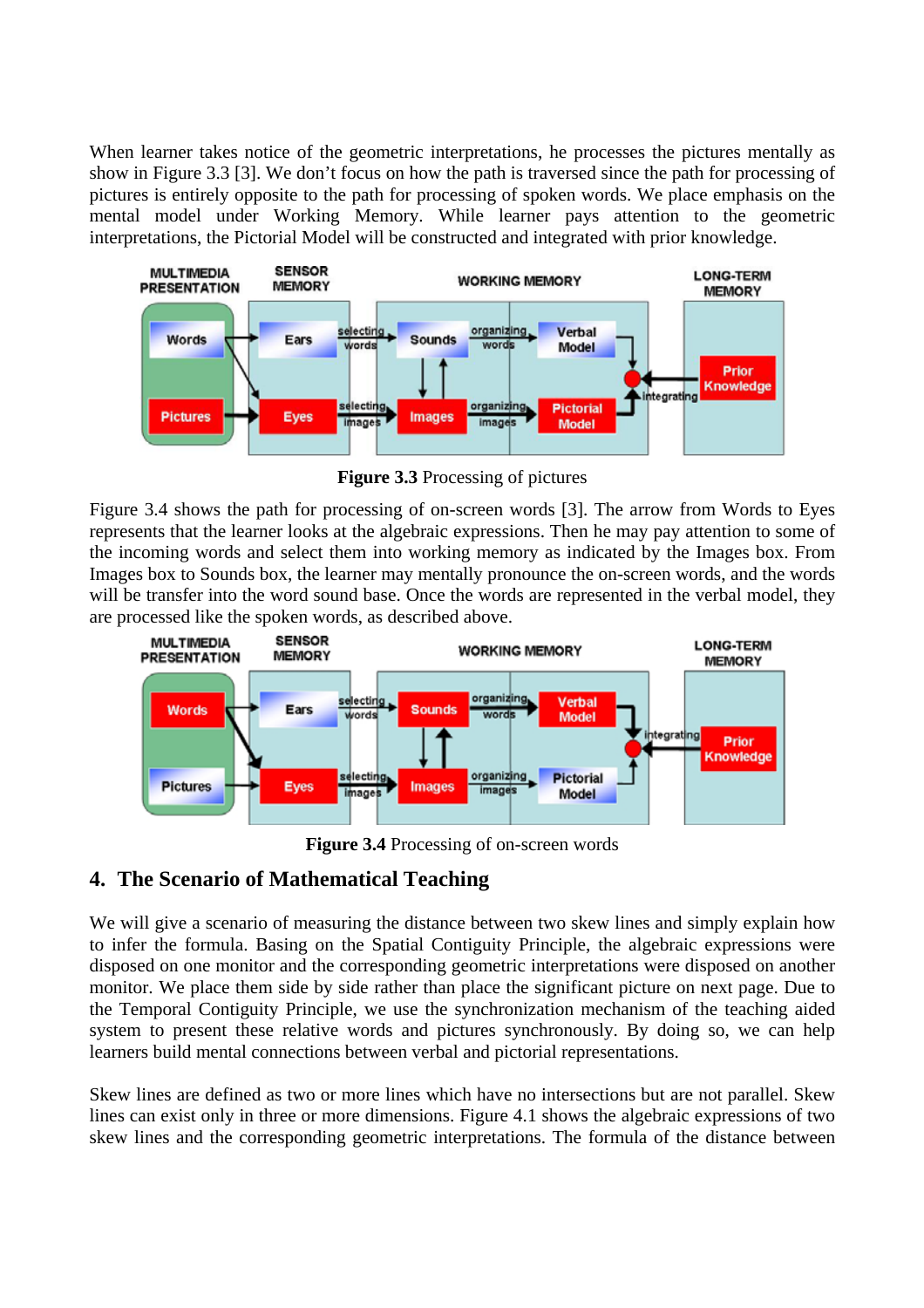When learner takes notice of the geometric interpretations, he processes the pictures mentally as show in Figure 3.3 [3]. We don't focus on how the path is traversed since the path for processing of pictures is entirely opposite to the path for processing of spoken words. We place emphasis on the mental model under Working Memory. While learner pays attention to the geometric interpretations, the Pictorial Model will be constructed and integrated with prior knowledge.



**Figure 3.3** Processing of pictures

Figure 3.4 shows the path for processing of on-screen words [3]. The arrow from Words to Eyes represents that the learner looks at the algebraic expressions. Then he may pay attention to some of the incoming words and select them into working memory as indicated by the Images box. From Images box to Sounds box, the learner may mentally pronounce the on-screen words, and the words will be transfer into the word sound base. Once the words are represented in the verbal model, they are processed like the spoken words, as described above.



**Figure 3.4** Processing of on-screen words

# **4. The Scenario of Mathematical Teaching**

We will give a scenario of measuring the distance between two skew lines and simply explain how to infer the formula. Basing on the Spatial Contiguity Principle, the algebraic expressions were disposed on one monitor and the corresponding geometric interpretations were disposed on another monitor. We place them side by side rather than place the significant picture on next page. Due to the Temporal Contiguity Principle, we use the synchronization mechanism of the teaching aided system to present these relative words and pictures synchronously. By doing so, we can help learners build mental connections between verbal and pictorial representations.

Skew lines are defined as two or more lines which have no intersections but are not parallel. Skew lines can exist only in three or more dimensions. Figure 4.1 shows the algebraic expressions of two skew lines and the corresponding geometric interpretations. The formula of the distance between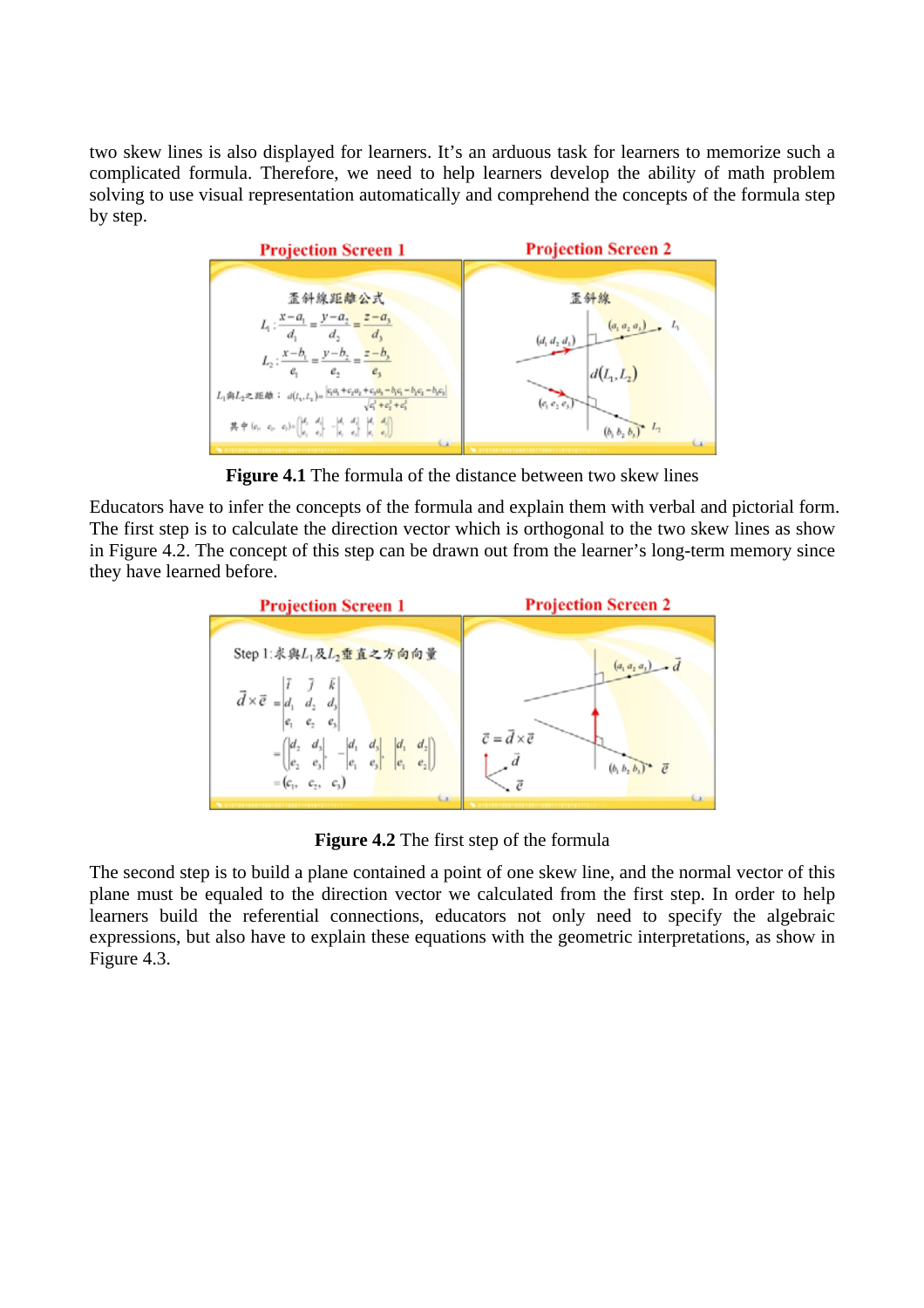two skew lines is also displayed for learners. It's an arduous task for learners to memorize such a complicated formula. Therefore, we need to help learners develop the ability of math problem solving to use visual representation automatically and comprehend the concepts of the formula step by step.



**Figure 4.1** The formula of the distance between two skew lines

Educators have to infer the concepts of the formula and explain them with verbal and pictorial form. The first step is to calculate the direction vector which is orthogonal to the two skew lines as show in Figure 4.2. The concept of this step can be drawn out from the learner's long-term memory since they have learned before.



**Figure 4.2** The first step of the formula

The second step is to build a plane contained a point of one skew line, and the normal vector of this plane must be equaled to the direction vector we calculated from the first step. In order to help learners build the referential connections, educators not only need to specify the algebraic expressions, but also have to explain these equations with the geometric interpretations, as show in Figure 4.3.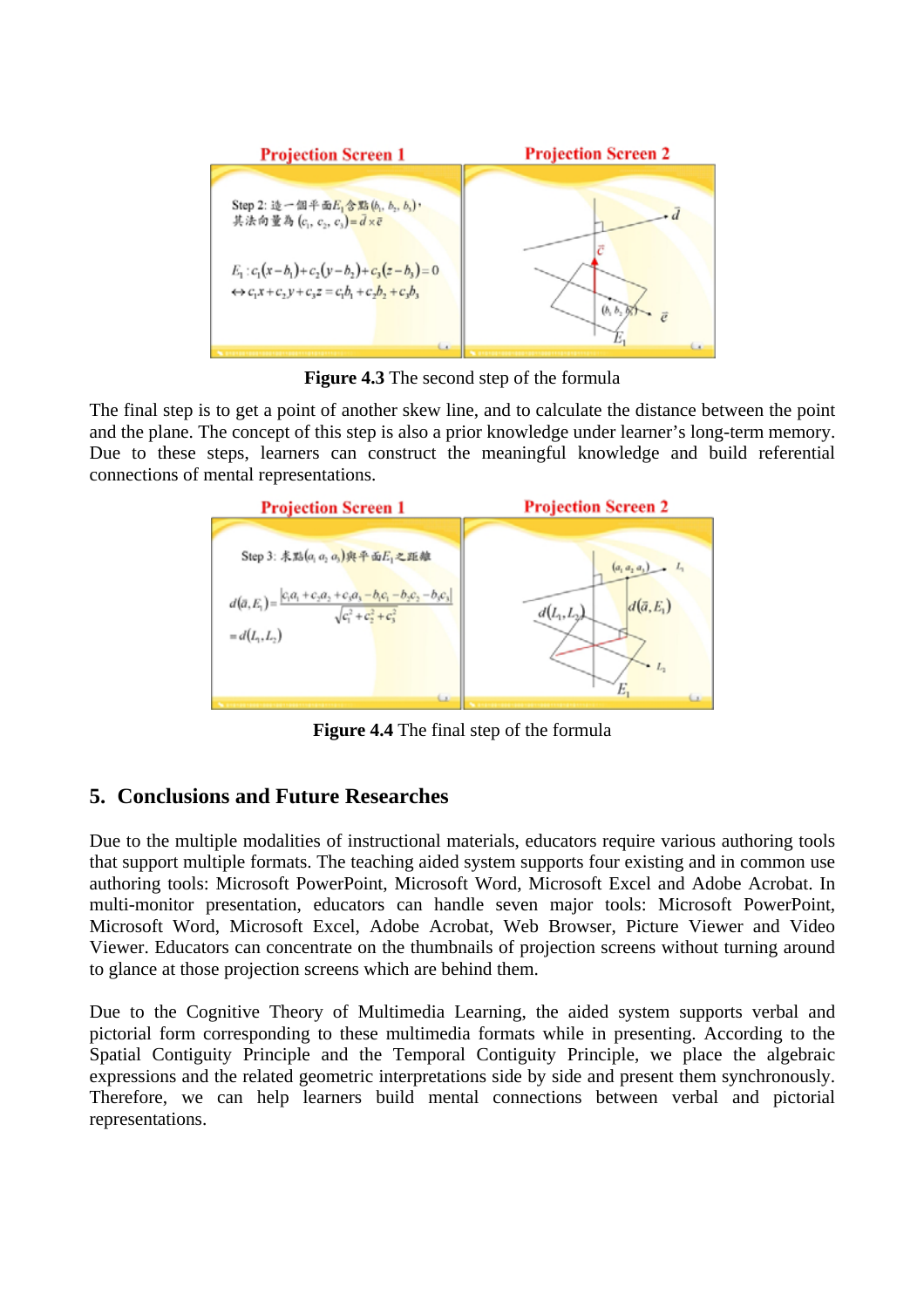

**Figure 4.3** The second step of the formula

The final step is to get a point of another skew line, and to calculate the distance between the point and the plane. The concept of this step is also a prior knowledge under learner's long-term memory. Due to these steps, learners can construct the meaningful knowledge and build referential connections of mental representations.



**Figure 4.4** The final step of the formula

# **5. Conclusions and Future Researches**

Due to the multiple modalities of instructional materials, educators require various authoring tools that support multiple formats. The teaching aided system supports four existing and in common use authoring tools: Microsoft PowerPoint, Microsoft Word, Microsoft Excel and Adobe Acrobat. In multi-monitor presentation, educators can handle seven major tools: Microsoft PowerPoint, Microsoft Word, Microsoft Excel, Adobe Acrobat, Web Browser, Picture Viewer and Video Viewer. Educators can concentrate on the thumbnails of projection screens without turning around to glance at those projection screens which are behind them.

Due to the Cognitive Theory of Multimedia Learning, the aided system supports verbal and pictorial form corresponding to these multimedia formats while in presenting. According to the Spatial Contiguity Principle and the Temporal Contiguity Principle, we place the algebraic expressions and the related geometric interpretations side by side and present them synchronously. Therefore, we can help learners build mental connections between verbal and pictorial representations.